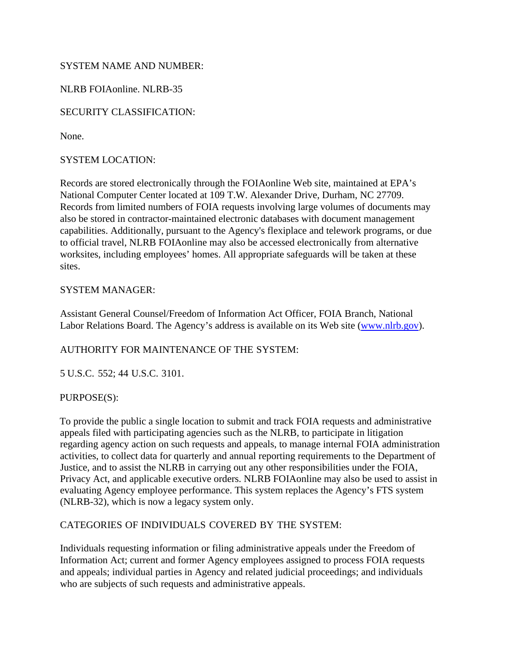## SYSTEM NAME AND NUMBER:

NLRB FOIAonline. NLRB-35

# SECURITY CLASSIFICATION:

None.

## SYSTEM LOCATION:

Records are stored electronically through the FOIAonline Web site, maintained at EPA's National Computer Center located at 109 T.W. Alexander Drive, Durham, NC 27709. Records from limited numbers of FOIA requests involving large volumes of documents may also be stored in contractor-maintained electronic databases with document management capabilities. Additionally, pursuant to the Agency's flexiplace and telework programs, or due to official travel, NLRB FOIAonline may also be accessed electronically from alternative worksites, including employees' homes. All appropriate safeguards will be taken at these sites.

## SYSTEM MANAGER:

Assistant General Counsel/Freedom of Information Act Officer, FOIA Branch, National Labor Relations Board. The Agency's address is available on its Web site [\(www.nlrb.gov\)](http://www.nlrb.gov/).

## AUTHORITY FOR MAINTENANCE OF THE SYSTEM:

5 U.S.C. 552; 44 U.S.C. 3101.

## PURPOSE(S):

To provide the public a single location to submit and track FOIA requests and administrative appeals filed with participating agencies such as the NLRB, to participate in litigation regarding agency action on such requests and appeals, to manage internal FOIA administration activities, to collect data for quarterly and annual reporting requirements to the Department of Justice, and to assist the NLRB in carrying out any other responsibilities under the FOIA, Privacy Act, and applicable executive orders. NLRB FOIAonline may also be used to assist in evaluating Agency employee performance. This system replaces the Agency's FTS system (NLRB-32), which is now a legacy system only.

## CATEGORIES OF INDIVIDUALS COVERED BY THE SYSTEM:

Individuals requesting information or filing administrative appeals under the Freedom of Information Act; current and former Agency employees assigned to process FOIA requests and appeals; individual parties in Agency and related judicial proceedings; and individuals who are subjects of such requests and administrative appeals.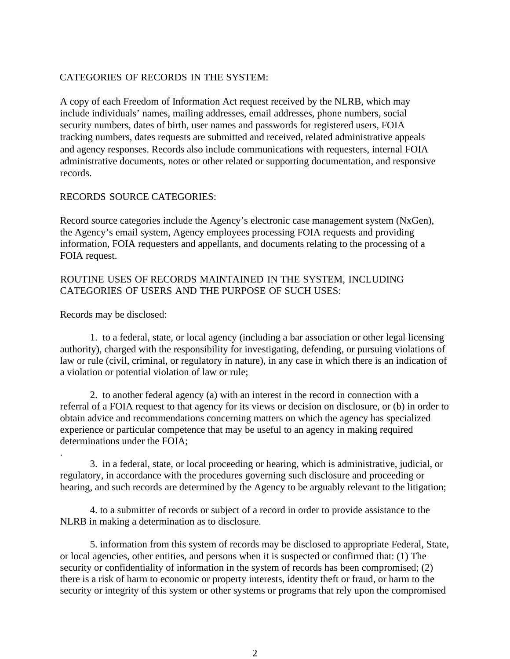#### CATEGORIES OF RECORDS IN THE SYSTEM:

A copy of each Freedom of Information Act request received by the NLRB, which may include individuals' names, mailing addresses, email addresses, phone numbers, social security numbers, dates of birth, user names and passwords for registered users, FOIA tracking numbers, dates requests are submitted and received, related administrative appeals and agency responses. Records also include communications with requesters, internal FOIA administrative documents, notes or other related or supporting documentation, and responsive records.

#### RECORDS SOURCE CATEGORIES:

Record source categories include the Agency's electronic case management system (NxGen), the Agency's email system, Agency employees processing FOIA requests and providing information, FOIA requesters and appellants, and documents relating to the processing of a FOIA request.

## ROUTINE USES OF RECORDS MAINTAINED IN THE SYSTEM, INCLUDING CATEGORIES OF USERS AND THE PURPOSE OF SUCH USES:

Records may be disclosed:

1. to a federal, state, or local agency (including a bar association or other legal licensing authority), charged with the responsibility for investigating, defending, or pursuing violations of law or rule (civil, criminal, or regulatory in nature), in any case in which there is an indication of a violation or potential violation of law or rule;

2. to another federal agency (a) with an interest in the record in connection with a referral of a FOIA request to that agency for its views or decision on disclosure, or (b) in order to obtain advice and recommendations concerning matters on which the agency has specialized experience or particular competence that may be useful to an agency in making required determinations under the FOIA;

. 3. in a federal, state, or local proceeding or hearing, which is administrative, judicial, or regulatory, in accordance with the procedures governing such disclosure and proceeding or hearing, and such records are determined by the Agency to be arguably relevant to the litigation;

4. to a submitter of records or subject of a record in order to provide assistance to the NLRB in making a determination as to disclosure.

5. information from this system of records may be disclosed to appropriate Federal, State, or local agencies, other entities, and persons when it is suspected or confirmed that: (1) The security or confidentiality of information in the system of records has been compromised; (2) there is a risk of harm to economic or property interests, identity theft or fraud, or harm to the security or integrity of this system or other systems or programs that rely upon the compromised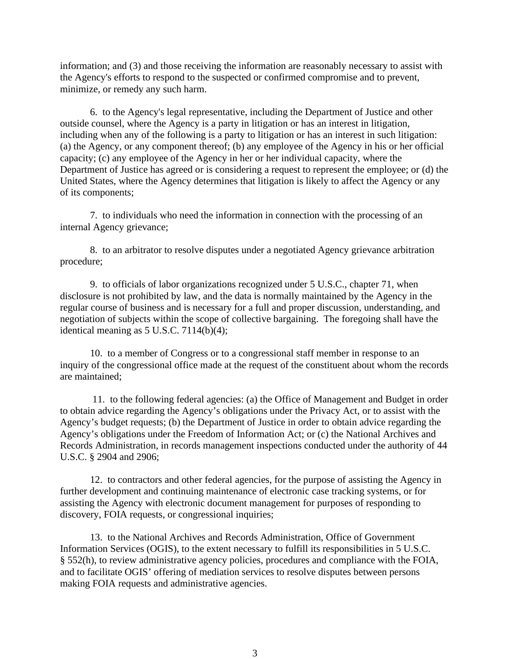information; and (3) and those receiving the information are reasonably necessary to assist with the Agency's efforts to respond to the suspected or confirmed compromise and to prevent, minimize, or remedy any such harm.

6. to the Agency's legal representative, including the Department of Justice and other outside counsel, where the Agency is a party in litigation or has an interest in litigation, including when any of the following is a party to litigation or has an interest in such litigation: (a) the Agency, or any component thereof; (b) any employee of the Agency in his or her official capacity; (c) any employee of the Agency in her or her individual capacity, where the Department of Justice has agreed or is considering a request to represent the employee; or (d) the United States, where the Agency determines that litigation is likely to affect the Agency or any of its components;

7. to individuals who need the information in connection with the processing of an internal Agency grievance;

8. to an arbitrator to resolve disputes under a negotiated Agency grievance arbitration procedure;

9. to officials of labor organizations recognized under 5 U.S.C., chapter 71, when disclosure is not prohibited by law, and the data is normally maintained by the Agency in the regular course of business and is necessary for a full and proper discussion, understanding, and negotiation of subjects within the scope of collective bargaining. The foregoing shall have the identical meaning as  $5$  U.S.C.  $7114(b)(4)$ ;

10. to a member of Congress or to a congressional staff member in response to an inquiry of the congressional office made at the request of the constituent about whom the records are maintained;

11. to the following federal agencies: (a) the Office of Management and Budget in order to obtain advice regarding the Agency's obligations under the Privacy Act, or to assist with the Agency's budget requests; (b) the Department of Justice in order to obtain advice regarding the Agency's obligations under the Freedom of Information Act; or (c) the National Archives and Records Administration, in records management inspections conducted under the authority of 44 U.S.C. § 2904 and 2906;

12. to contractors and other federal agencies, for the purpose of assisting the Agency in further development and continuing maintenance of electronic case tracking systems, or for assisting the Agency with electronic document management for purposes of responding to discovery, FOIA requests, or congressional inquiries;

13. to the National Archives and Records Administration, Office of Government Information Services (OGIS), to the extent necessary to fulfill its responsibilities in 5 U.S.C. § 552(h), to review administrative agency policies, procedures and compliance with the FOIA, and to facilitate OGIS' offering of mediation services to resolve disputes between persons making FOIA requests and administrative agencies.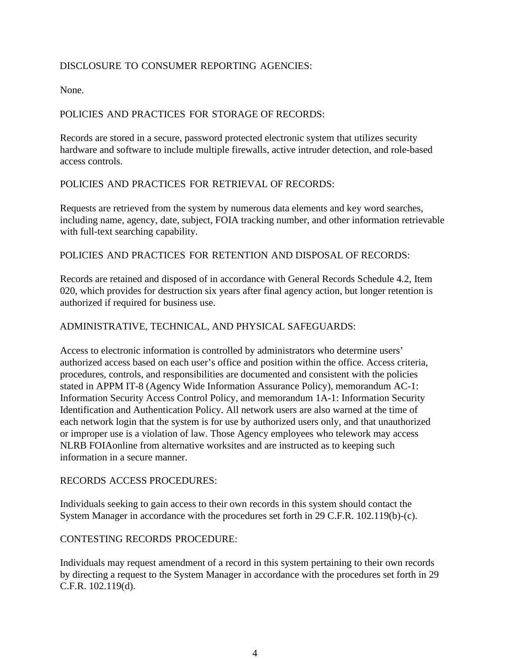## DISCLOSURE TO CONSUMER REPORTING AGENCIES:

None.

## POLICIES AND PRACTICES FOR STORAGE OF RECORDS:

Records are stored in a secure, password protected electronic system that utilizes security hardware and software to include multiple firewalls, active intruder detection, and role-based access controls.

#### POLICIES AND PRACTICES FOR RETRIEVAL OF RECORDS:

Requests are retrieved from the system by numerous data elements and key word searches, including name, agency, date, subject, FOIA tracking number, and other information retrievable with full-text searching capability.

#### POLICIES AND PRACTICES FOR RETENTION AND DISPOSAL OF RECORDS:

Records are retained and disposed of in accordance with General Records Schedule 4.2, Item 020, which provides for destruction six years after final agency action, but longer retention is authorized if required for business use.

## ADMINISTRATIVE, TECHNICAL, AND PHYSICAL SAFEGUARDS:

Access to electronic information is controlled by administrators who determine users' authorized access based on each user's office and position within the office. Access criteria, procedures, controls, and responsibilities are documented and consistent with the policies stated in APPM IT-8 (Agency Wide Information Assurance Policy), memorandum AC-1: Information Security Access Control Policy, and memorandum 1A-1: Information Security Identification and Authentication Policy. All network users are also warned at the time of each network login that the system is for use by authorized users only, and that unauthorized or improper use is a violation of law. Those Agency employees who telework may access NLRB FOIAonline from alternative worksites and are instructed as to keeping such information in a secure manner.

#### RECORDS ACCESS PROCEDURES:

Individuals seeking to gain access to their own records in this system should contact the System Manager in accordance with the procedures set forth in 29 C.F.R. 102.119(b)-(c).

#### CONTESTING RECORDS PROCEDURE:

Individuals may request amendment of a record in this system pertaining to their own records by directing a request to the System Manager in accordance with the procedures set forth in 29 C.F.R. 102.119(d).